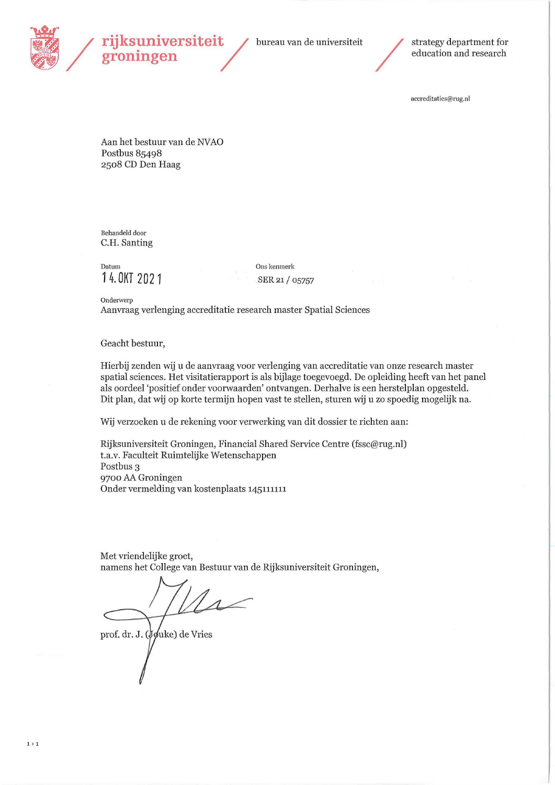

# wer **wer**<br>**rijksuniversiteit** / bureau van de universiteit / strategy department for **rijksuniversiteit** / bureau van de universiteit / strategy department for education and research

accreditaties@rug.nl

Aan het bestuur van de NVAO Postbus 85498 **2508** CD Den Haag

Behandeld door C.H. Santing

Datum Ons kenmerk 14. OKT 2021 **SER 21/05757** 

Onderwerp Aanvraag verlenging accreditatie research master Spatial Sciences

Geacht bestuur,

Hierbij zenden wij u de aanvraag voor verlenging van accreditatie van onze research master spatial sciences.Het visitatierapport is als bijlage toegevoegd. De opleiding heeft van het panel als oordeel 'positief onder voorwaarden' ontvangen. Derhalve is een herstelplan opgesteld. Dit plan, dat wij op korte termijn hopen vast te stellen, sturen wij u zo spoedig mogelijk na.

Wij verzoeken u de rekening voor verwerking van dit dossier te richten aan:

Rijksuniversiteit Groningen, Financial Shared Service Centre (fssc@rug.nl) t.a.v. Faculteit Ruimtelijke Wetenschappen Postbus 3 **9700** AA Groningen Onder vermelding van kostenplaats 145111111

Met vriendelijke groet, namens het College van Bestuur van de Rijksuniversiteit Groningen,

prof. dr. J. (Jouke) de Vries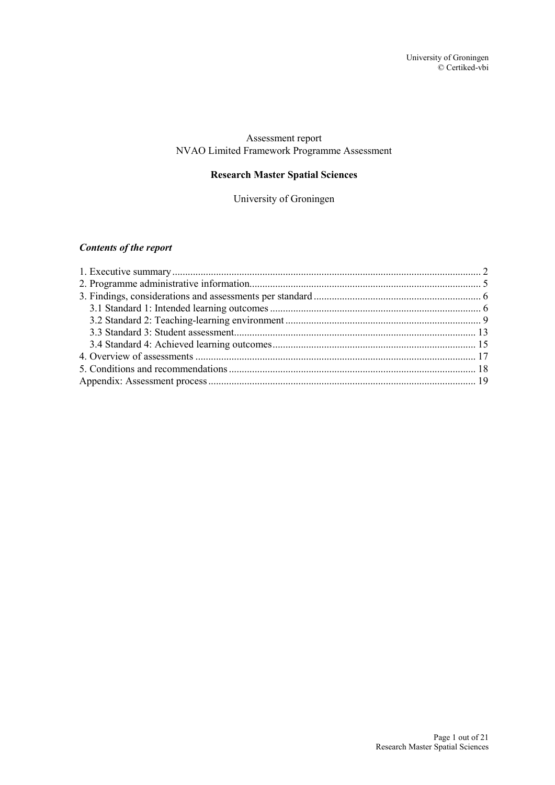#### Assessment report NVAO Limited Framework Programme Assessment

## **Research Master Spatial Sciences**

University of Groningen

## *Contents of the report*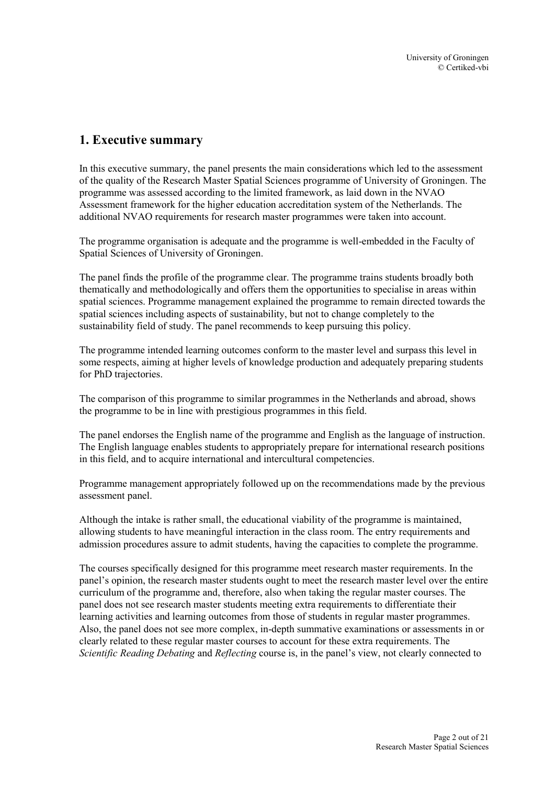# <span id="page-2-0"></span>**1. Executive summary**

In this executive summary, the panel presents the main considerations which led to the assessment of the quality of the Research Master Spatial Sciences programme of University of Groningen. The programme was assessed according to the limited framework, as laid down in the NVAO Assessment framework for the higher education accreditation system of the Netherlands. The additional NVAO requirements for research master programmes were taken into account.

The programme organisation is adequate and the programme is well-embedded in the Faculty of Spatial Sciences of University of Groningen.

The panel finds the profile of the programme clear. The programme trains students broadly both thematically and methodologically and offers them the opportunities to specialise in areas within spatial sciences. Programme management explained the programme to remain directed towards the spatial sciences including aspects of sustainability, but not to change completely to the sustainability field of study. The panel recommends to keep pursuing this policy.

The programme intended learning outcomes conform to the master level and surpass this level in some respects, aiming at higher levels of knowledge production and adequately preparing students for PhD trajectories.

The comparison of this programme to similar programmes in the Netherlands and abroad, shows the programme to be in line with prestigious programmes in this field.

The panel endorses the English name of the programme and English as the language of instruction. The English language enables students to appropriately prepare for international research positions in this field, and to acquire international and intercultural competencies.

Programme management appropriately followed up on the recommendations made by the previous assessment panel.

Although the intake is rather small, the educational viability of the programme is maintained, allowing students to have meaningful interaction in the class room. The entry requirements and admission procedures assure to admit students, having the capacities to complete the programme.

The courses specifically designed for this programme meet research master requirements. In the panel's opinion, the research master students ought to meet the research master level over the entire curriculum of the programme and, therefore, also when taking the regular master courses. The panel does not see research master students meeting extra requirements to differentiate their learning activities and learning outcomes from those of students in regular master programmes. Also, the panel does not see more complex, in-depth summative examinations or assessments in or clearly related to these regular master courses to account for these extra requirements. The *Scientific Reading Debating* and *Reflecting* course is, in the panel's view, not clearly connected to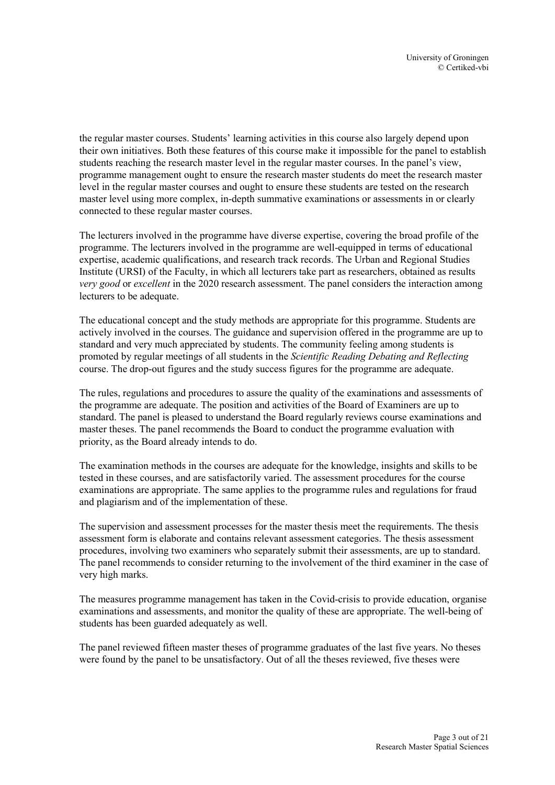the regular master courses. Students' learning activities in this course also largely depend upon their own initiatives. Both these features of this course make it impossible for the panel to establish students reaching the research master level in the regular master courses. In the panel's view, programme management ought to ensure the research master students do meet the research master level in the regular master courses and ought to ensure these students are tested on the research master level using more complex, in-depth summative examinations or assessments in or clearly connected to these regular master courses.

The lecturers involved in the programme have diverse expertise, covering the broad profile of the programme. The lecturers involved in the programme are well-equipped in terms of educational expertise, academic qualifications, and research track records. The Urban and Regional Studies Institute (URSI) of the Faculty, in which all lecturers take part as researchers, obtained as results *very good* or *excellent* in the 2020 research assessment. The panel considers the interaction among lecturers to be adequate.

The educational concept and the study methods are appropriate for this programme. Students are actively involved in the courses. The guidance and supervision offered in the programme are up to standard and very much appreciated by students. The community feeling among students is promoted by regular meetings of all students in the *Scientific Reading Debating and Reflecting* course. The drop-out figures and the study success figures for the programme are adequate.

The rules, regulations and procedures to assure the quality of the examinations and assessments of the programme are adequate. The position and activities of the Board of Examiners are up to standard. The panel is pleased to understand the Board regularly reviews course examinations and master theses. The panel recommends the Board to conduct the programme evaluation with priority, as the Board already intends to do.

The examination methods in the courses are adequate for the knowledge, insights and skills to be tested in these courses, and are satisfactorily varied. The assessment procedures for the course examinations are appropriate. The same applies to the programme rules and regulations for fraud and plagiarism and of the implementation of these.

The supervision and assessment processes for the master thesis meet the requirements. The thesis assessment form is elaborate and contains relevant assessment categories. The thesis assessment procedures, involving two examiners who separately submit their assessments, are up to standard. The panel recommends to consider returning to the involvement of the third examiner in the case of very high marks.

The measures programme management has taken in the Covid-crisis to provide education, organise examinations and assessments, and monitor the quality of these are appropriate. The well-being of students has been guarded adequately as well.

The panel reviewed fifteen master theses of programme graduates of the last five years. No theses were found by the panel to be unsatisfactory. Out of all the theses reviewed, five theses were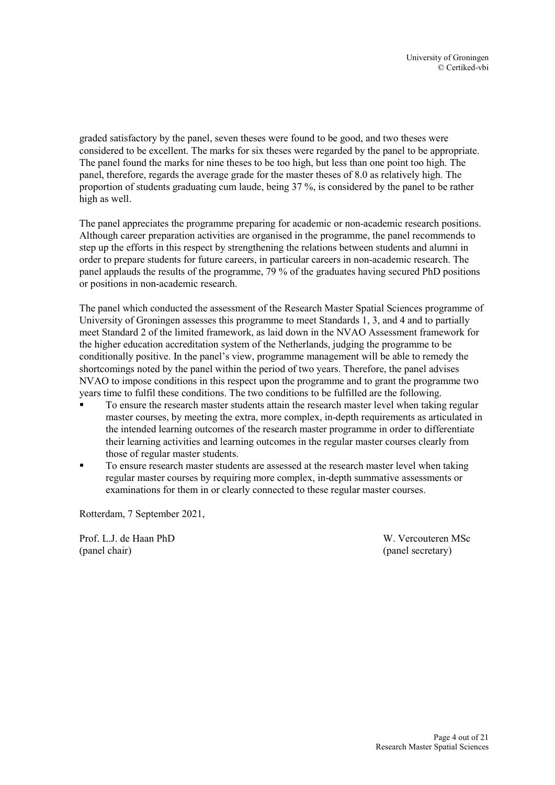graded satisfactory by the panel, seven theses were found to be good, and two theses were considered to be excellent. The marks for six theses were regarded by the panel to be appropriate. The panel found the marks for nine theses to be too high, but less than one point too high. The panel, therefore, regards the average grade for the master theses of 8.0 as relatively high. The proportion of students graduating cum laude, being 37 %, is considered by the panel to be rather high as well.

The panel appreciates the programme preparing for academic or non-academic research positions. Although career preparation activities are organised in the programme, the panel recommends to step up the efforts in this respect by strengthening the relations between students and alumni in order to prepare students for future careers, in particular careers in non-academic research. The panel applauds the results of the programme, 79 % of the graduates having secured PhD positions or positions in non-academic research.

The panel which conducted the assessment of the Research Master Spatial Sciences programme of University of Groningen assesses this programme to meet Standards 1, 3, and 4 and to partially meet Standard 2 of the limited framework, as laid down in the NVAO Assessment framework for the higher education accreditation system of the Netherlands, judging the programme to be conditionally positive. In the panel's view, programme management will be able to remedy the shortcomings noted by the panel within the period of two years. Therefore, the panel advises NVAO to impose conditions in this respect upon the programme and to grant the programme two years time to fulfil these conditions. The two conditions to be fulfilled are the following.

- To ensure the research master students attain the research master level when taking regular master courses, by meeting the extra, more complex, in-depth requirements as articulated in the intended learning outcomes of the research master programme in order to differentiate their learning activities and learning outcomes in the regular master courses clearly from those of regular master students.
- To ensure research master students are assessed at the research master level when taking regular master courses by requiring more complex, in-depth summative assessments or examinations for them in or clearly connected to these regular master courses.

Rotterdam, 7 September 2021,

Prof. L.J. de Haan PhD W. Vercouteren MSc (panel chair) (panel secretary)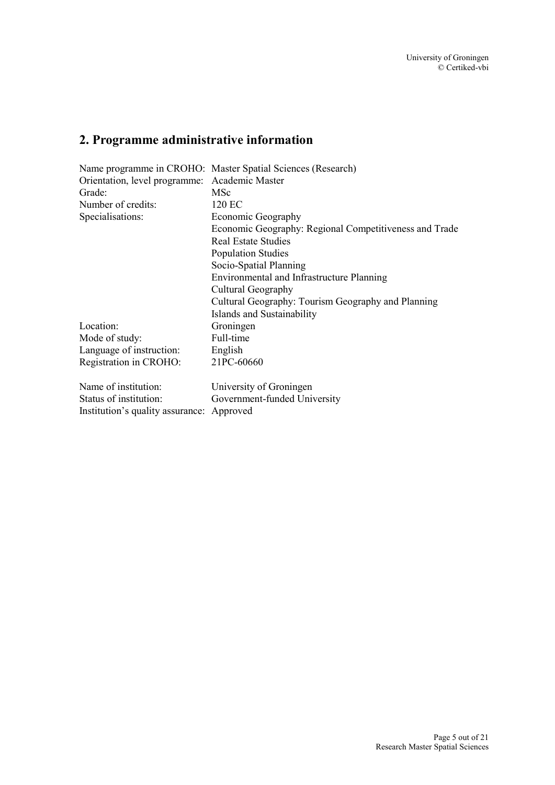# <span id="page-5-0"></span>**2. Programme administrative information**

|                                           | Name programme in CROHO: Master Spatial Sciences (Research) |  |
|-------------------------------------------|-------------------------------------------------------------|--|
| Orientation, level programme:             | Academic Master                                             |  |
| Grade:                                    | MSc                                                         |  |
| Number of credits:                        | 120 EC                                                      |  |
| Specialisations:                          | Economic Geography                                          |  |
|                                           | Economic Geography: Regional Competitiveness and Trade      |  |
|                                           | <b>Real Estate Studies</b>                                  |  |
|                                           | <b>Population Studies</b>                                   |  |
|                                           | Socio-Spatial Planning                                      |  |
|                                           | Environmental and Infrastructure Planning                   |  |
|                                           | Cultural Geography                                          |  |
|                                           | Cultural Geography: Tourism Geography and Planning          |  |
|                                           | Islands and Sustainability                                  |  |
| Location:                                 | Groningen                                                   |  |
| Mode of study:                            | Full-time                                                   |  |
| Language of instruction:                  | English                                                     |  |
| Registration in CROHO:                    | 21PC-60660                                                  |  |
| Name of institution:                      | University of Groningen                                     |  |
| Status of institution:                    | Government-funded University                                |  |
| Institution's quality assurance: Approved |                                                             |  |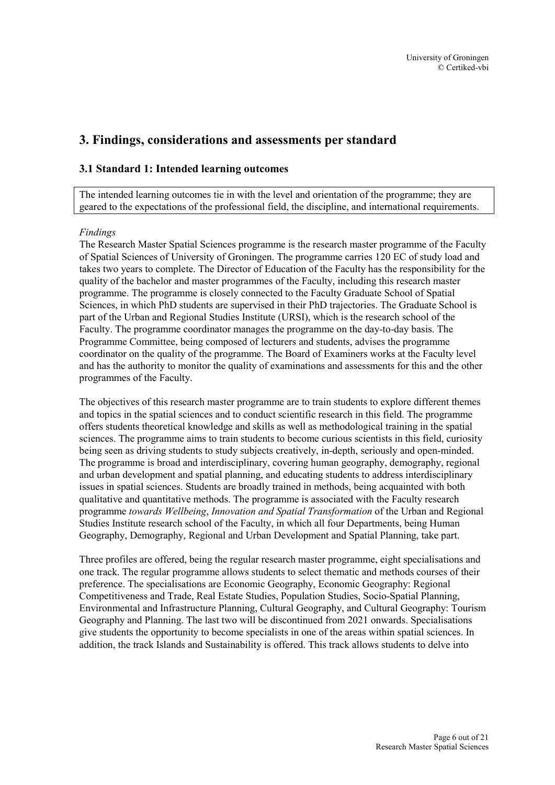# <span id="page-6-0"></span>**3. Findings, considerations and assessments per standard**

#### <span id="page-6-1"></span>**3.1 Standard 1: Intended learning outcomes**

The intended learning outcomes tie in with the level and orientation of the programme; they are geared to the expectations of the professional field, the discipline, and international requirements.

#### *Findings*

The Research Master Spatial Sciences programme is the research master programme of the Faculty of Spatial Sciences of University of Groningen. The programme carries 120 EC of study load and takes two years to complete. The Director of Education of the Faculty has the responsibility for the quality of the bachelor and master programmes of the Faculty, including this research master programme. The programme is closely connected to the Faculty Graduate School of Spatial Sciences, in which PhD students are supervised in their PhD trajectories. The Graduate School is part of the Urban and Regional Studies Institute (URSI), which is the research school of the Faculty. The programme coordinator manages the programme on the day-to-day basis. The Programme Committee, being composed of lecturers and students, advises the programme coordinator on the quality of the programme. The Board of Examiners works at the Faculty level and has the authority to monitor the quality of examinations and assessments for this and the other programmes of the Faculty.

The objectives of this research master programme are to train students to explore different themes and topics in the spatial sciences and to conduct scientific research in this field. The programme offers students theoretical knowledge and skills as well as methodological training in the spatial sciences. The programme aims to train students to become curious scientists in this field, curiosity being seen as driving students to study subjects creatively, in-depth, seriously and open-minded. The programme is broad and interdisciplinary, covering human geography, demography, regional and urban development and spatial planning, and educating students to address interdisciplinary issues in spatial sciences. Students are broadly trained in methods, being acquainted with both qualitative and quantitative methods. The programme is associated with the Faculty research programme *towards Wellbeing*, *Innovation and Spatial Transformation* of the Urban and Regional Studies Institute research school of the Faculty, in which all four Departments, being Human Geography, Demography, Regional and Urban Development and Spatial Planning, take part.

Three profiles are offered, being the regular research master programme, eight specialisations and one track. The regular programme allows students to select thematic and methods courses of their preference. The specialisations are Economic Geography, Economic Geography: Regional Competitiveness and Trade, Real Estate Studies, Population Studies, Socio-Spatial Planning, Environmental and Infrastructure Planning, Cultural Geography, and Cultural Geography: Tourism Geography and Planning. The last two will be discontinued from 2021 onwards. Specialisations give students the opportunity to become specialists in one of the areas within spatial sciences. In addition, the track Islands and Sustainability is offered. This track allows students to delve into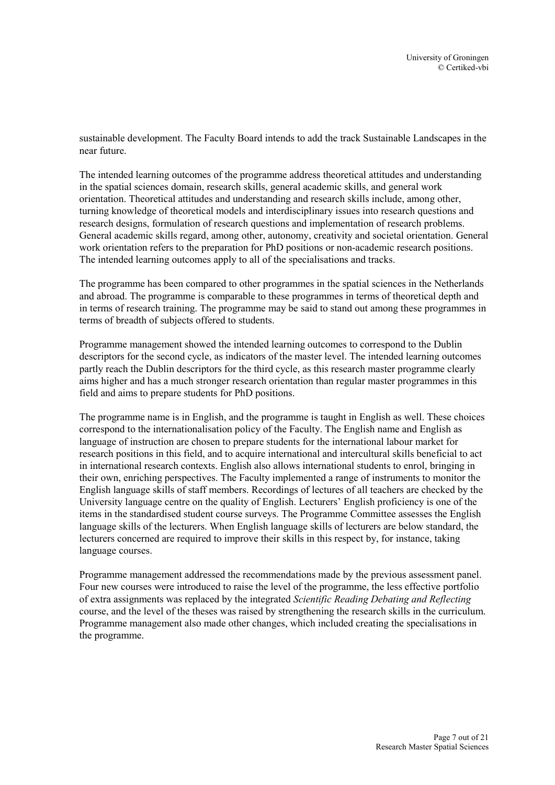sustainable development. The Faculty Board intends to add the track Sustainable Landscapes in the near future.

The intended learning outcomes of the programme address theoretical attitudes and understanding in the spatial sciences domain, research skills, general academic skills, and general work orientation. Theoretical attitudes and understanding and research skills include, among other, turning knowledge of theoretical models and interdisciplinary issues into research questions and research designs, formulation of research questions and implementation of research problems. General academic skills regard, among other, autonomy, creativity and societal orientation. General work orientation refers to the preparation for PhD positions or non-academic research positions. The intended learning outcomes apply to all of the specialisations and tracks.

The programme has been compared to other programmes in the spatial sciences in the Netherlands and abroad. The programme is comparable to these programmes in terms of theoretical depth and in terms of research training. The programme may be said to stand out among these programmes in terms of breadth of subjects offered to students.

Programme management showed the intended learning outcomes to correspond to the Dublin descriptors for the second cycle, as indicators of the master level. The intended learning outcomes partly reach the Dublin descriptors for the third cycle, as this research master programme clearly aims higher and has a much stronger research orientation than regular master programmes in this field and aims to prepare students for PhD positions.

The programme name is in English, and the programme is taught in English as well. These choices correspond to the internationalisation policy of the Faculty. The English name and English as language of instruction are chosen to prepare students for the international labour market for research positions in this field, and to acquire international and intercultural skills beneficial to act in international research contexts. English also allows international students to enrol, bringing in their own, enriching perspectives. The Faculty implemented a range of instruments to monitor the English language skills of staff members. Recordings of lectures of all teachers are checked by the University language centre on the quality of English. Lecturers' English proficiency is one of the items in the standardised student course surveys. The Programme Committee assesses the English language skills of the lecturers. When English language skills of lecturers are below standard, the lecturers concerned are required to improve their skills in this respect by, for instance, taking language courses.

Programme management addressed the recommendations made by the previous assessment panel. Four new courses were introduced to raise the level of the programme, the less effective portfolio of extra assignments was replaced by the integrated *Scientific Reading Debating and Reflecting* course, and the level of the theses was raised by strengthening the research skills in the curriculum. Programme management also made other changes, which included creating the specialisations in the programme.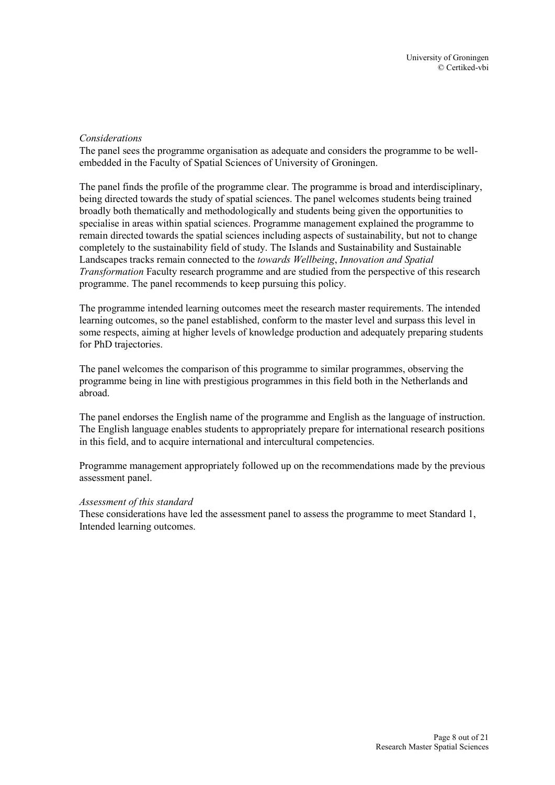#### *Considerations*

The panel sees the programme organisation as adequate and considers the programme to be wellembedded in the Faculty of Spatial Sciences of University of Groningen.

The panel finds the profile of the programme clear. The programme is broad and interdisciplinary, being directed towards the study of spatial sciences. The panel welcomes students being trained broadly both thematically and methodologically and students being given the opportunities to specialise in areas within spatial sciences. Programme management explained the programme to remain directed towards the spatial sciences including aspects of sustainability, but not to change completely to the sustainability field of study. The Islands and Sustainability and Sustainable Landscapes tracks remain connected to the *towards Wellbeing*, *Innovation and Spatial Transformation* Faculty research programme and are studied from the perspective of this research programme. The panel recommends to keep pursuing this policy.

The programme intended learning outcomes meet the research master requirements. The intended learning outcomes, so the panel established, conform to the master level and surpass this level in some respects, aiming at higher levels of knowledge production and adequately preparing students for PhD trajectories.

The panel welcomes the comparison of this programme to similar programmes, observing the programme being in line with prestigious programmes in this field both in the Netherlands and abroad.

The panel endorses the English name of the programme and English as the language of instruction. The English language enables students to appropriately prepare for international research positions in this field, and to acquire international and intercultural competencies.

Programme management appropriately followed up on the recommendations made by the previous assessment panel.

#### *Assessment of this standard*

These considerations have led the assessment panel to assess the programme to meet Standard 1, Intended learning outcomes.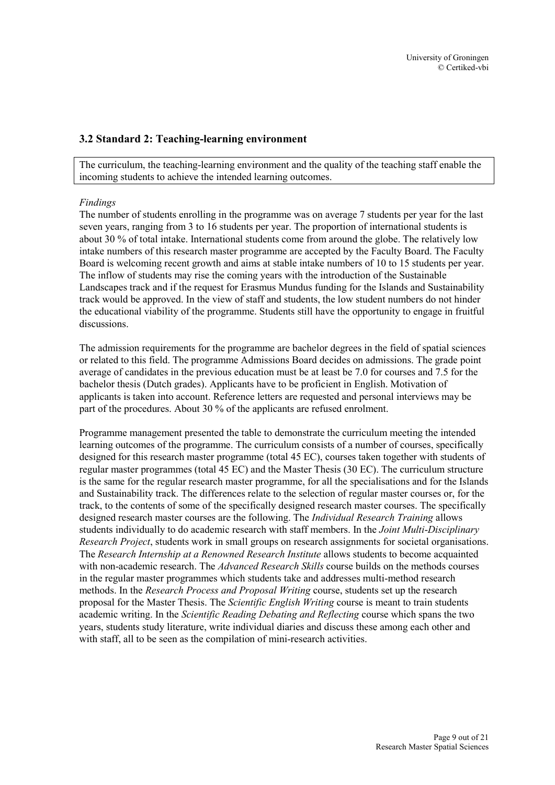#### <span id="page-9-0"></span>**3.2 Standard 2: Teaching-learning environment**

The curriculum, the teaching-learning environment and the quality of the teaching staff enable the incoming students to achieve the intended learning outcomes.

#### *Findings*

The number of students enrolling in the programme was on average 7 students per year for the last seven years, ranging from 3 to 16 students per year. The proportion of international students is about 30 % of total intake. International students come from around the globe. The relatively low intake numbers of this research master programme are accepted by the Faculty Board. The Faculty Board is welcoming recent growth and aims at stable intake numbers of 10 to 15 students per year. The inflow of students may rise the coming years with the introduction of the Sustainable Landscapes track and if the request for Erasmus Mundus funding for the Islands and Sustainability track would be approved. In the view of staff and students, the low student numbers do not hinder the educational viability of the programme. Students still have the opportunity to engage in fruitful discussions.

The admission requirements for the programme are bachelor degrees in the field of spatial sciences or related to this field. The programme Admissions Board decides on admissions. The grade point average of candidates in the previous education must be at least be 7.0 for courses and 7.5 for the bachelor thesis (Dutch grades). Applicants have to be proficient in English. Motivation of applicants is taken into account. Reference letters are requested and personal interviews may be part of the procedures. About 30 % of the applicants are refused enrolment.

Programme management presented the table to demonstrate the curriculum meeting the intended learning outcomes of the programme. The curriculum consists of a number of courses, specifically designed for this research master programme (total 45 EC), courses taken together with students of regular master programmes (total 45 EC) and the Master Thesis (30 EC). The curriculum structure is the same for the regular research master programme, for all the specialisations and for the Islands and Sustainability track. The differences relate to the selection of regular master courses or, for the track, to the contents of some of the specifically designed research master courses. The specifically designed research master courses are the following. The *Individual Research Training* allows students individually to do academic research with staff members. In the *Joint Multi*-*Disciplinary Research Project*, students work in small groups on research assignments for societal organisations. The *Research Internship at a Renowned Research Institute* allows students to become acquainted with non-academic research. The *Advanced Research Skills* course builds on the methods courses in the regular master programmes which students take and addresses multi-method research methods. In the *Research Process and Proposal Writing* course, students set up the research proposal for the Master Thesis. The *Scientific English Writing* course is meant to train students academic writing. In the *Scientific Reading Debating and Reflecting* course which spans the two years, students study literature, write individual diaries and discuss these among each other and with staff, all to be seen as the compilation of mini-research activities.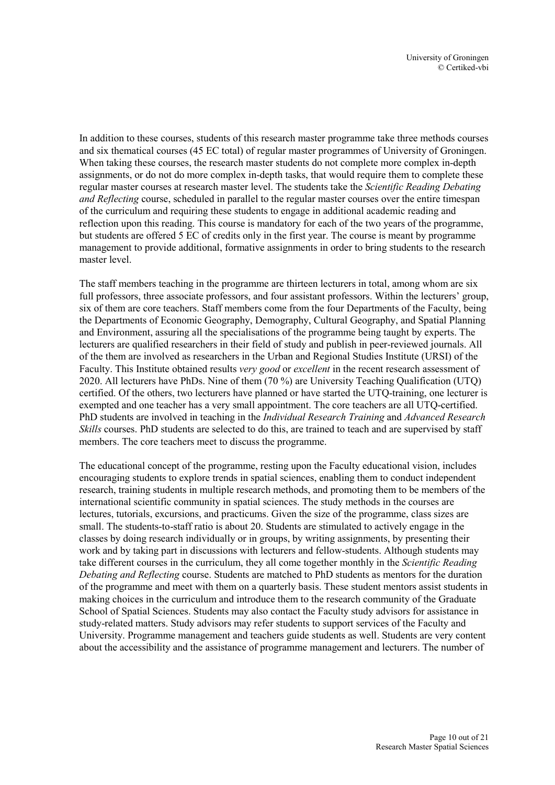In addition to these courses, students of this research master programme take three methods courses and six thematical courses (45 EC total) of regular master programmes of University of Groningen. When taking these courses, the research master students do not complete more complex in-depth assignments, or do not do more complex in-depth tasks, that would require them to complete these regular master courses at research master level. The students take the *Scientific Reading Debating and Reflecting* course, scheduled in parallel to the regular master courses over the entire timespan of the curriculum and requiring these students to engage in additional academic reading and reflection upon this reading. This course is mandatory for each of the two years of the programme, but students are offered 5 EC of credits only in the first year. The course is meant by programme management to provide additional, formative assignments in order to bring students to the research master level.

The staff members teaching in the programme are thirteen lecturers in total, among whom are six full professors, three associate professors, and four assistant professors. Within the lecturers' group, six of them are core teachers. Staff members come from the four Departments of the Faculty, being the Departments of Economic Geography, Demography, Cultural Geography, and Spatial Planning and Environment, assuring all the specialisations of the programme being taught by experts. The lecturers are qualified researchers in their field of study and publish in peer-reviewed journals. All of the them are involved as researchers in the Urban and Regional Studies Institute (URSI) of the Faculty. This Institute obtained results *very good* or *excellent* in the recent research assessment of 2020. All lecturers have PhDs. Nine of them (70 %) are University Teaching Qualification (UTQ) certified. Of the others, two lecturers have planned or have started the UTQ-training, one lecturer is exempted and one teacher has a very small appointment. The core teachers are all UTQ-certified. PhD students are involved in teaching in the *Individual Research Training* and *Advanced Research Skills* courses. PhD students are selected to do this, are trained to teach and are supervised by staff members. The core teachers meet to discuss the programme.

The educational concept of the programme, resting upon the Faculty educational vision, includes encouraging students to explore trends in spatial sciences, enabling them to conduct independent research, training students in multiple research methods, and promoting them to be members of the international scientific community in spatial sciences. The study methods in the courses are lectures, tutorials, excursions, and practicums. Given the size of the programme, class sizes are small. The students-to-staff ratio is about 20. Students are stimulated to actively engage in the classes by doing research individually or in groups, by writing assignments, by presenting their work and by taking part in discussions with lecturers and fellow-students. Although students may take different courses in the curriculum, they all come together monthly in the *Scientific Reading Debating and Reflecting* course. Students are matched to PhD students as mentors for the duration of the programme and meet with them on a quarterly basis. These student mentors assist students in making choices in the curriculum and introduce them to the research community of the Graduate School of Spatial Sciences. Students may also contact the Faculty study advisors for assistance in study-related matters. Study advisors may refer students to support services of the Faculty and University. Programme management and teachers guide students as well. Students are very content about the accessibility and the assistance of programme management and lecturers. The number of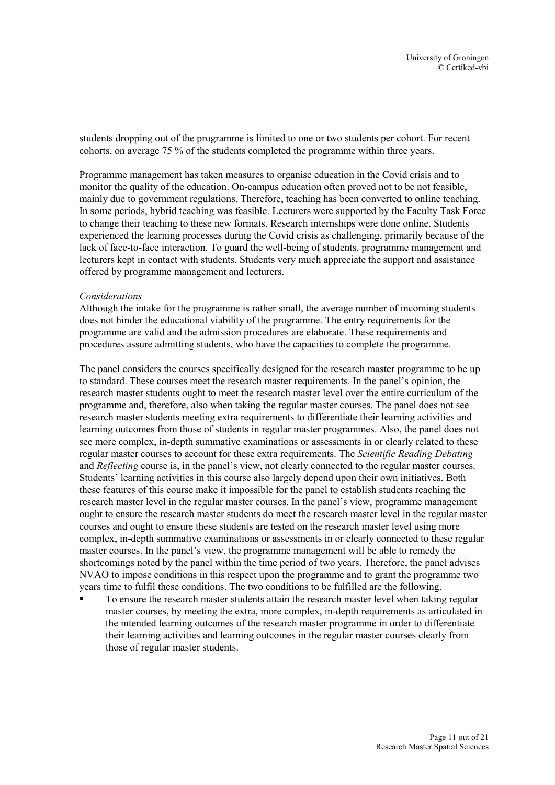students dropping out of the programme is limited to one or two students per cohort. For recent cohorts, on average 75 % of the students completed the programme within three years.

Programme management has taken measures to organise education in the Covid crisis and to monitor the quality of the education. On-campus education often proved not to be not feasible, mainly due to government regulations. Therefore, teaching has been converted to online teaching. In some periods, hybrid teaching was feasible. Lecturers were supported by the Faculty Task Force to change their teaching to these new formats. Research internships were done online. Students experienced the learning processes during the Covid crisis as challenging, primarily because of the lack of face-to-face interaction. To guard the well-being of students, programme management and lecturers kept in contact with students. Students very much appreciate the support and assistance offered by programme management and lecturers.

#### *Considerations*

Although the intake for the programme is rather small, the average number of incoming students does not hinder the educational viability of the programme. The entry requirements for the programme are valid and the admission procedures are elaborate. These requirements and procedures assure admitting students, who have the capacities to complete the programme.

The panel considers the courses specifically designed for the research master programme to be up to standard. These courses meet the research master requirements. In the panel's opinion, the research master students ought to meet the research master level over the entire curriculum of the programme and, therefore, also when taking the regular master courses. The panel does not see research master students meeting extra requirements to differentiate their learning activities and learning outcomes from those of students in regular master programmes. Also, the panel does not see more complex, in-depth summative examinations or assessments in or clearly related to these regular master courses to account for these extra requirements. The *Scientific Reading Debating* and *Reflecting* course is, in the panel's view, not clearly connected to the regular master courses. Students' learning activities in this course also largely depend upon their own initiatives. Both these features of this course make it impossible for the panel to establish students reaching the research master level in the regular master courses. In the panel's view, programme management ought to ensure the research master students do meet the research master level in the regular master courses and ought to ensure these students are tested on the research master level using more complex, in-depth summative examinations or assessments in or clearly connected to these regular master courses. In the panel's view, the programme management will be able to remedy the shortcomings noted by the panel within the time period of two years. Therefore, the panel advises NVAO to impose conditions in this respect upon the programme and to grant the programme two years time to fulfil these conditions. The two conditions to be fulfilled are the following.

 To ensure the research master students attain the research master level when taking regular master courses, by meeting the extra, more complex, in-depth requirements as articulated in the intended learning outcomes of the research master programme in order to differentiate their learning activities and learning outcomes in the regular master courses clearly from those of regular master students.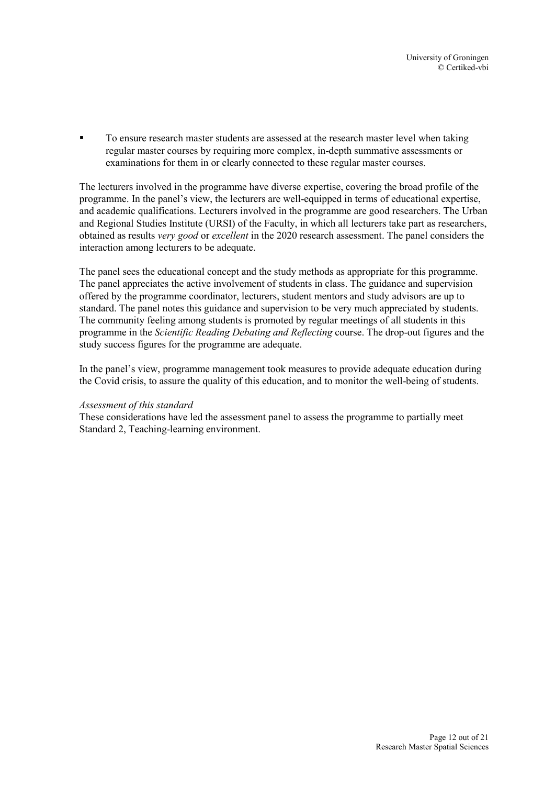To ensure research master students are assessed at the research master level when taking regular master courses by requiring more complex, in-depth summative assessments or examinations for them in or clearly connected to these regular master courses.

The lecturers involved in the programme have diverse expertise, covering the broad profile of the programme. In the panel's view, the lecturers are well-equipped in terms of educational expertise, and academic qualifications. Lecturers involved in the programme are good researchers. The Urban and Regional Studies Institute (URSI) of the Faculty, in which all lecturers take part as researchers, obtained as results *very good* or *excellent* in the 2020 research assessment. The panel considers the interaction among lecturers to be adequate.

The panel sees the educational concept and the study methods as appropriate for this programme. The panel appreciates the active involvement of students in class. The guidance and supervision offered by the programme coordinator, lecturers, student mentors and study advisors are up to standard. The panel notes this guidance and supervision to be very much appreciated by students. The community feeling among students is promoted by regular meetings of all students in this programme in the *Scientific Reading Debating and Reflecting* course. The drop-out figures and the study success figures for the programme are adequate.

In the panel's view, programme management took measures to provide adequate education during the Covid crisis, to assure the quality of this education, and to monitor the well-being of students.

#### *Assessment of this standard*

These considerations have led the assessment panel to assess the programme to partially meet Standard 2, Teaching-learning environment.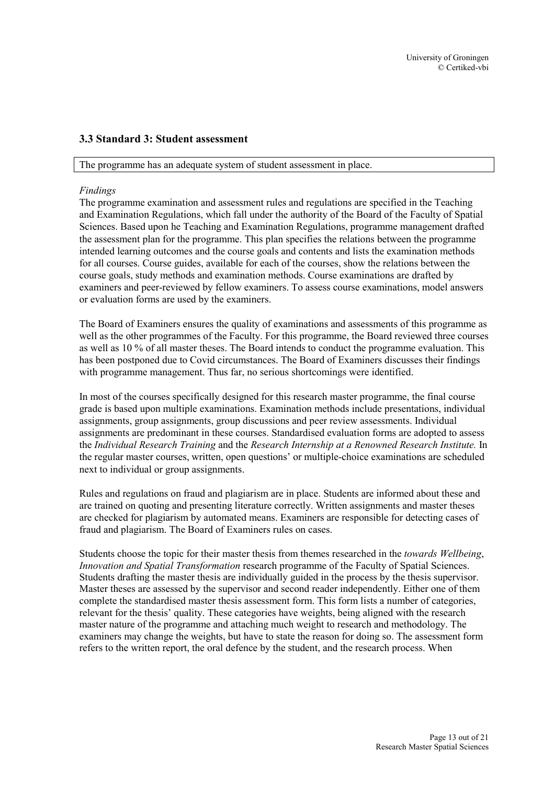#### <span id="page-13-0"></span>**3.3 Standard 3: Student assessment**

#### The programme has an adequate system of student assessment in place.

#### *Findings*

The programme examination and assessment rules and regulations are specified in the Teaching and Examination Regulations, which fall under the authority of the Board of the Faculty of Spatial Sciences. Based upon he Teaching and Examination Regulations, programme management drafted the assessment plan for the programme. This plan specifies the relations between the programme intended learning outcomes and the course goals and contents and lists the examination methods for all courses. Course guides, available for each of the courses, show the relations between the course goals, study methods and examination methods. Course examinations are drafted by examiners and peer-reviewed by fellow examiners. To assess course examinations, model answers or evaluation forms are used by the examiners.

The Board of Examiners ensures the quality of examinations and assessments of this programme as well as the other programmes of the Faculty. For this programme, the Board reviewed three courses as well as 10 % of all master theses. The Board intends to conduct the programme evaluation. This has been postponed due to Covid circumstances. The Board of Examiners discusses their findings with programme management. Thus far, no serious shortcomings were identified.

In most of the courses specifically designed for this research master programme, the final course grade is based upon multiple examinations. Examination methods include presentations, individual assignments, group assignments, group discussions and peer review assessments. Individual assignments are predominant in these courses. Standardised evaluation forms are adopted to assess the *Individual Research Training* and the *Research Internship at a Renowned Research Institute.* In the regular master courses, written, open questions' or multiple-choice examinations are scheduled next to individual or group assignments.

Rules and regulations on fraud and plagiarism are in place. Students are informed about these and are trained on quoting and presenting literature correctly. Written assignments and master theses are checked for plagiarism by automated means. Examiners are responsible for detecting cases of fraud and plagiarism. The Board of Examiners rules on cases.

Students choose the topic for their master thesis from themes researched in the *towards Wellbeing*, *Innovation and Spatial Transformation* research programme of the Faculty of Spatial Sciences. Students drafting the master thesis are individually guided in the process by the thesis supervisor. Master theses are assessed by the supervisor and second reader independently. Either one of them complete the standardised master thesis assessment form. This form lists a number of categories, relevant for the thesis' quality. These categories have weights, being aligned with the research master nature of the programme and attaching much weight to research and methodology. The examiners may change the weights, but have to state the reason for doing so. The assessment form refers to the written report, the oral defence by the student, and the research process. When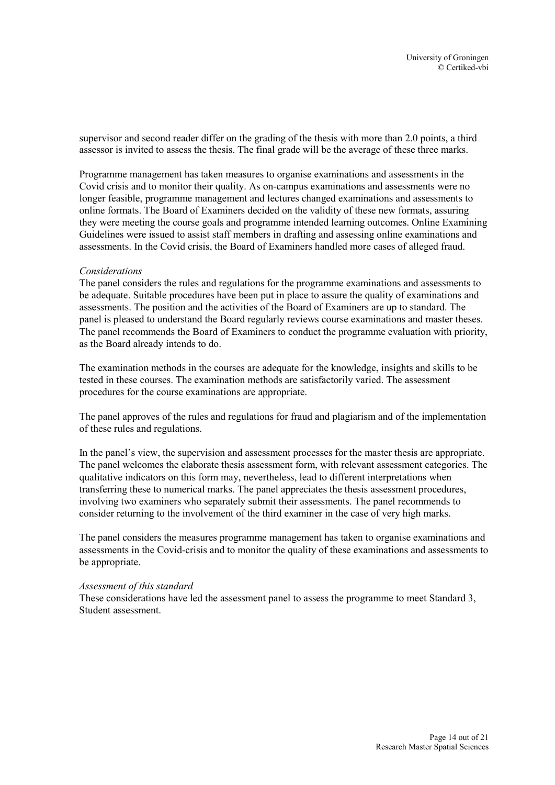supervisor and second reader differ on the grading of the thesis with more than 2.0 points, a third assessor is invited to assess the thesis. The final grade will be the average of these three marks.

Programme management has taken measures to organise examinations and assessments in the Covid crisis and to monitor their quality. As on-campus examinations and assessments were no longer feasible, programme management and lectures changed examinations and assessments to online formats. The Board of Examiners decided on the validity of these new formats, assuring they were meeting the course goals and programme intended learning outcomes. Online Examining Guidelines were issued to assist staff members in drafting and assessing online examinations and assessments. In the Covid crisis, the Board of Examiners handled more cases of alleged fraud.

#### *Considerations*

The panel considers the rules and regulations for the programme examinations and assessments to be adequate. Suitable procedures have been put in place to assure the quality of examinations and assessments. The position and the activities of the Board of Examiners are up to standard. The panel is pleased to understand the Board regularly reviews course examinations and master theses. The panel recommends the Board of Examiners to conduct the programme evaluation with priority, as the Board already intends to do.

The examination methods in the courses are adequate for the knowledge, insights and skills to be tested in these courses. The examination methods are satisfactorily varied. The assessment procedures for the course examinations are appropriate.

The panel approves of the rules and regulations for fraud and plagiarism and of the implementation of these rules and regulations.

In the panel's view, the supervision and assessment processes for the master thesis are appropriate. The panel welcomes the elaborate thesis assessment form, with relevant assessment categories. The qualitative indicators on this form may, nevertheless, lead to different interpretations when transferring these to numerical marks. The panel appreciates the thesis assessment procedures, involving two examiners who separately submit their assessments. The panel recommends to consider returning to the involvement of the third examiner in the case of very high marks.

The panel considers the measures programme management has taken to organise examinations and assessments in the Covid-crisis and to monitor the quality of these examinations and assessments to be appropriate.

#### *Assessment of this standard*

These considerations have led the assessment panel to assess the programme to meet Standard 3, Student assessment.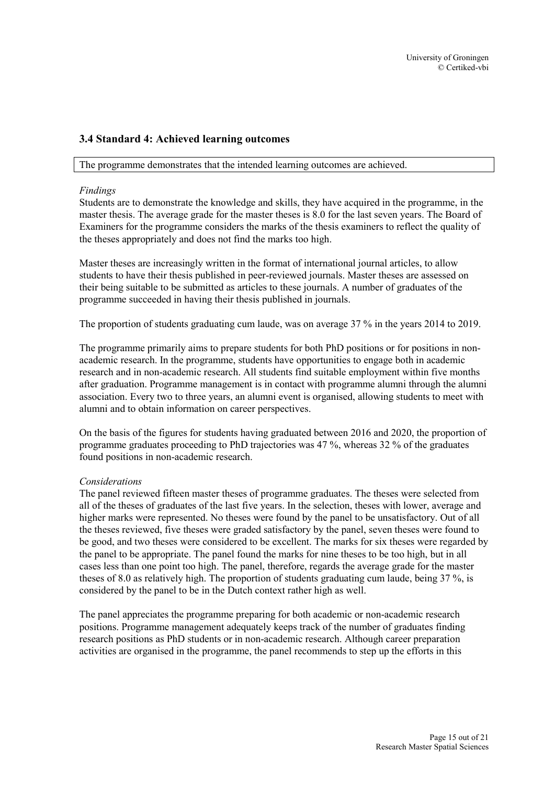#### <span id="page-15-0"></span>**3.4 Standard 4: Achieved learning outcomes**

#### The programme demonstrates that the intended learning outcomes are achieved.

#### *Findings*

Students are to demonstrate the knowledge and skills, they have acquired in the programme, in the master thesis. The average grade for the master theses is 8.0 for the last seven years. The Board of Examiners for the programme considers the marks of the thesis examiners to reflect the quality of the theses appropriately and does not find the marks too high.

Master theses are increasingly written in the format of international journal articles, to allow students to have their thesis published in peer-reviewed journals. Master theses are assessed on their being suitable to be submitted as articles to these journals. A number of graduates of the programme succeeded in having their thesis published in journals.

The proportion of students graduating cum laude, was on average 37 % in the years 2014 to 2019.

The programme primarily aims to prepare students for both PhD positions or for positions in nonacademic research. In the programme, students have opportunities to engage both in academic research and in non-academic research. All students find suitable employment within five months after graduation. Programme management is in contact with programme alumni through the alumni association. Every two to three years, an alumni event is organised, allowing students to meet with alumni and to obtain information on career perspectives.

On the basis of the figures for students having graduated between 2016 and 2020, the proportion of programme graduates proceeding to PhD trajectories was 47 %, whereas 32 % of the graduates found positions in non-academic research.

#### *Considerations*

The panel reviewed fifteen master theses of programme graduates. The theses were selected from all of the theses of graduates of the last five years. In the selection, theses with lower, average and higher marks were represented. No theses were found by the panel to be unsatisfactory. Out of all the theses reviewed, five theses were graded satisfactory by the panel, seven theses were found to be good, and two theses were considered to be excellent. The marks for six theses were regarded by the panel to be appropriate. The panel found the marks for nine theses to be too high, but in all cases less than one point too high. The panel, therefore, regards the average grade for the master theses of 8.0 as relatively high. The proportion of students graduating cum laude, being 37 %, is considered by the panel to be in the Dutch context rather high as well.

The panel appreciates the programme preparing for both academic or non-academic research positions. Programme management adequately keeps track of the number of graduates finding research positions as PhD students or in non-academic research. Although career preparation activities are organised in the programme, the panel recommends to step up the efforts in this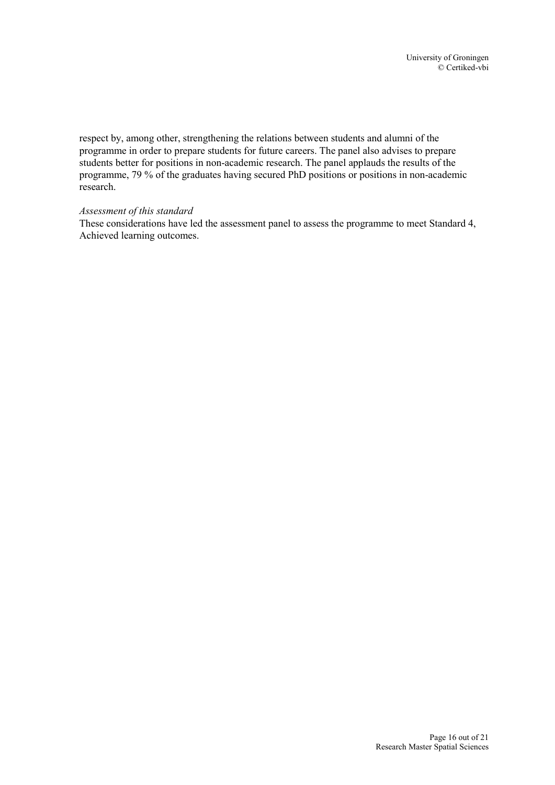respect by, among other, strengthening the relations between students and alumni of the programme in order to prepare students for future careers. The panel also advises to prepare students better for positions in non-academic research. The panel applauds the results of the programme, 79 % of the graduates having secured PhD positions or positions in non-academic research.

#### *Assessment of this standard*

These considerations have led the assessment panel to assess the programme to meet Standard 4, Achieved learning outcomes.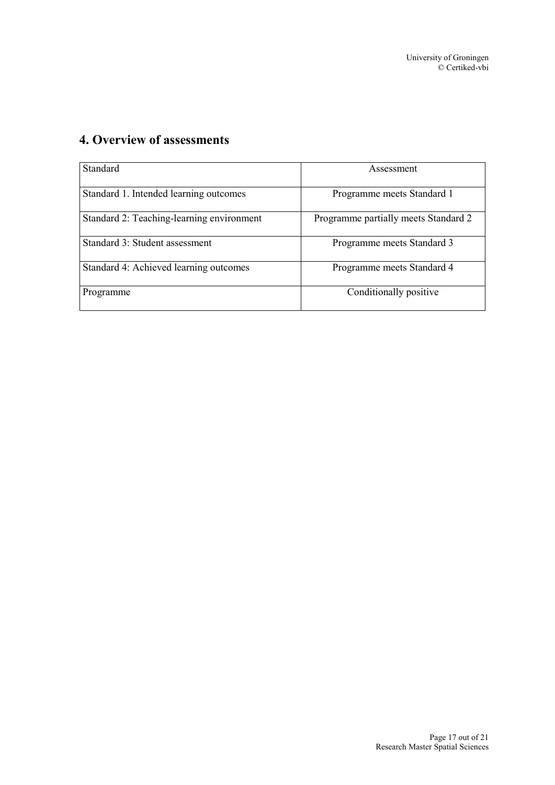| <b>Standard</b>                           | Assessment                           |
|-------------------------------------------|--------------------------------------|
| Standard 1. Intended learning outcomes    | Programme meets Standard 1           |
| Standard 2: Teaching-learning environment | Programme partially meets Standard 2 |
| Standard 3: Student assessment            | Programme meets Standard 3           |
| Standard 4: Achieved learning outcomes    | Programme meets Standard 4           |
| Programme                                 | Conditionally positive               |

# <span id="page-17-0"></span>**4. Overview of assessments**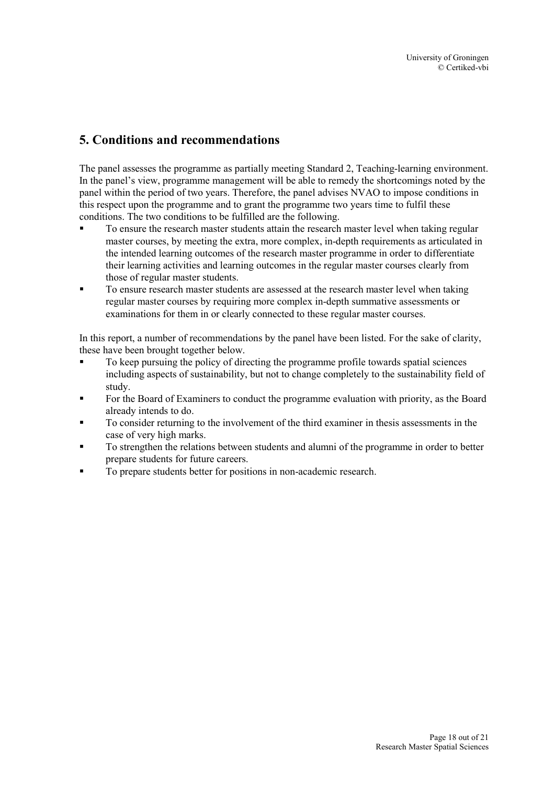# <span id="page-18-0"></span>**5. Conditions and recommendations**

The panel assesses the programme as partially meeting Standard 2, Teaching-learning environment. In the panel's view, programme management will be able to remedy the shortcomings noted by the panel within the period of two years. Therefore, the panel advises NVAO to impose conditions in this respect upon the programme and to grant the programme two years time to fulfil these conditions. The two conditions to be fulfilled are the following.

- To ensure the research master students attain the research master level when taking regular master courses, by meeting the extra, more complex, in-depth requirements as articulated in the intended learning outcomes of the research master programme in order to differentiate their learning activities and learning outcomes in the regular master courses clearly from those of regular master students.
- To ensure research master students are assessed at the research master level when taking regular master courses by requiring more complex in-depth summative assessments or examinations for them in or clearly connected to these regular master courses.

In this report, a number of recommendations by the panel have been listed. For the sake of clarity, these have been brought together below.

- To keep pursuing the policy of directing the programme profile towards spatial sciences including aspects of sustainability, but not to change completely to the sustainability field of study.
- For the Board of Examiners to conduct the programme evaluation with priority, as the Board already intends to do.
- To consider returning to the involvement of the third examiner in thesis assessments in the case of very high marks.
- To strengthen the relations between students and alumni of the programme in order to better prepare students for future careers.
- To prepare students better for positions in non-academic research.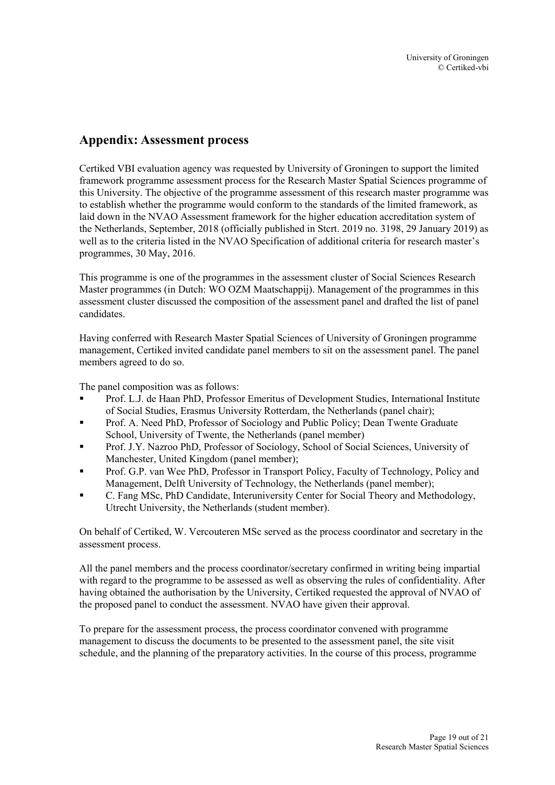# <span id="page-19-0"></span>**Appendix: Assessment process**

Certiked VBI evaluation agency was requested by University of Groningen to support the limited framework programme assessment process for the Research Master Spatial Sciences programme of this University. The objective of the programme assessment of this research master programme was to establish whether the programme would conform to the standards of the limited framework, as laid down in the NVAO Assessment framework for the higher education accreditation system of the Netherlands, September, 2018 (officially published in Stcrt. 2019 no. 3198, 29 January 2019) as well as to the criteria listed in the NVAO Specification of additional criteria for research master's programmes, 30 May, 2016.

This programme is one of the programmes in the assessment cluster of Social Sciences Research Master programmes (in Dutch: WO OZM Maatschappij). Management of the programmes in this assessment cluster discussed the composition of the assessment panel and drafted the list of panel candidates.

Having conferred with Research Master Spatial Sciences of University of Groningen programme management, Certiked invited candidate panel members to sit on the assessment panel. The panel members agreed to do so.

The panel composition was as follows:

- Prof. L.J. de Haan PhD, Professor Emeritus of Development Studies, International Institute of Social Studies, Erasmus University Rotterdam, the Netherlands (panel chair);
- Prof. A. Need PhD, Professor of Sociology and Public Policy; Dean Twente Graduate School, University of Twente, the Netherlands (panel member)
- Prof. J.Y. Nazroo PhD, Professor of Sociology, School of Social Sciences, University of Manchester, United Kingdom (panel member);
- Prof. G.P. van Wee PhD, Professor in Transport Policy, Faculty of Technology, Policy and Management, Delft University of Technology, the Netherlands (panel member);
- C. Fang MSc, PhD Candidate, Interuniversity Center for Social Theory and Methodology, Utrecht University, the Netherlands (student member).

On behalf of Certiked, W. Vercouteren MSc served as the process coordinator and secretary in the assessment process.

All the panel members and the process coordinator/secretary confirmed in writing being impartial with regard to the programme to be assessed as well as observing the rules of confidentiality. After having obtained the authorisation by the University, Certiked requested the approval of NVAO of the proposed panel to conduct the assessment. NVAO have given their approval.

To prepare for the assessment process, the process coordinator convened with programme management to discuss the documents to be presented to the assessment panel, the site visit schedule, and the planning of the preparatory activities. In the course of this process, programme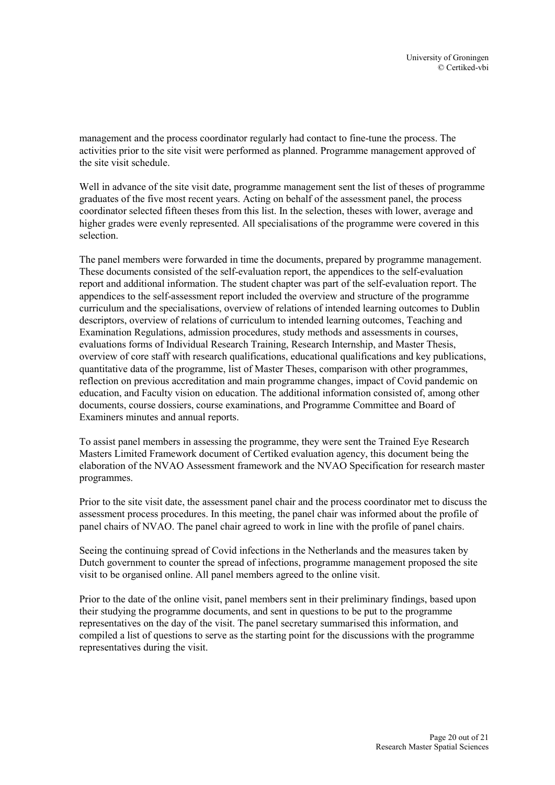management and the process coordinator regularly had contact to fine-tune the process. The activities prior to the site visit were performed as planned. Programme management approved of the site visit schedule.

Well in advance of the site visit date, programme management sent the list of theses of programme graduates of the five most recent years. Acting on behalf of the assessment panel, the process coordinator selected fifteen theses from this list. In the selection, theses with lower, average and higher grades were evenly represented. All specialisations of the programme were covered in this selection.

The panel members were forwarded in time the documents, prepared by programme management. These documents consisted of the self-evaluation report, the appendices to the self-evaluation report and additional information. The student chapter was part of the self-evaluation report. The appendices to the self-assessment report included the overview and structure of the programme curriculum and the specialisations, overview of relations of intended learning outcomes to Dublin descriptors, overview of relations of curriculum to intended learning outcomes, Teaching and Examination Regulations, admission procedures, study methods and assessments in courses, evaluations forms of Individual Research Training, Research Internship, and Master Thesis, overview of core staff with research qualifications, educational qualifications and key publications, quantitative data of the programme, list of Master Theses, comparison with other programmes, reflection on previous accreditation and main programme changes, impact of Covid pandemic on education, and Faculty vision on education. The additional information consisted of, among other documents, course dossiers, course examinations, and Programme Committee and Board of Examiners minutes and annual reports.

To assist panel members in assessing the programme, they were sent the Trained Eye Research Masters Limited Framework document of Certiked evaluation agency, this document being the elaboration of the NVAO Assessment framework and the NVAO Specification for research master programmes.

Prior to the site visit date, the assessment panel chair and the process coordinator met to discuss the assessment process procedures. In this meeting, the panel chair was informed about the profile of panel chairs of NVAO. The panel chair agreed to work in line with the profile of panel chairs.

Seeing the continuing spread of Covid infections in the Netherlands and the measures taken by Dutch government to counter the spread of infections, programme management proposed the site visit to be organised online. All panel members agreed to the online visit.

Prior to the date of the online visit, panel members sent in their preliminary findings, based upon their studying the programme documents, and sent in questions to be put to the programme representatives on the day of the visit. The panel secretary summarised this information, and compiled a list of questions to serve as the starting point for the discussions with the programme representatives during the visit.